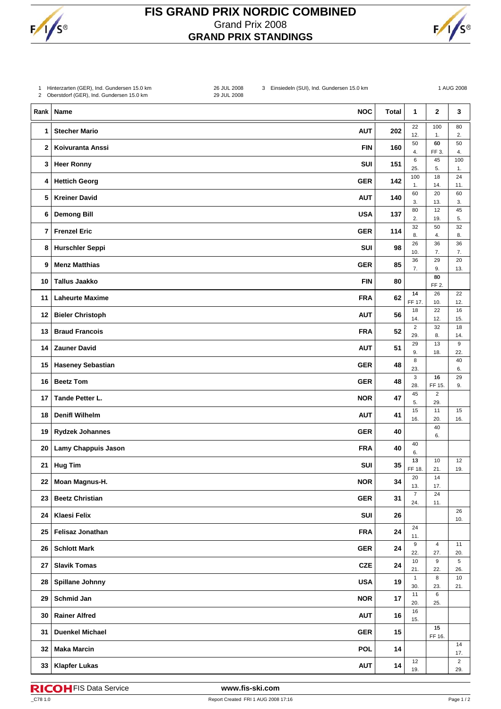

## **FIS GRAND PRIX NORDIC COMBINED** Grand Prix 2008 **GRAND PRIX STANDINGS**



| 1            | Hinterzarten (GER), Ind. Gundersen 15.0 km<br>2 Oberstdorf (GER), Ind. Gundersen 15.0 km | 26 JUL 2008<br>29 JUL 2008 | 3 Einsiedeln (SUI), Ind. Gundersen 15.0 km |              |                         |                         | 1 AUG 2008            |
|--------------|------------------------------------------------------------------------------------------|----------------------------|--------------------------------------------|--------------|-------------------------|-------------------------|-----------------------|
| Rank         | Name                                                                                     |                            | <b>NOC</b>                                 | <b>Total</b> | 1                       | $\mathbf 2$             | 3                     |
| 1            | <b>Stecher Mario</b>                                                                     |                            | <b>AUT</b>                                 | 202          | 22<br>12.               | 100<br>1.               | 80<br>2.              |
| $\mathbf{2}$ | Koivuranta Anssi                                                                         |                            | <b>FIN</b>                                 | 160          | 50<br>4.                | 60<br>FF 3.             | 50<br>4.              |
| 3            | <b>Heer Ronny</b>                                                                        |                            | SUI                                        | 151          | 6<br>25.                | 45<br>5.                | 100<br>1.             |
| 4            | <b>Hettich Georg</b>                                                                     |                            | <b>GER</b>                                 | 142          | 100<br>1.               | 18<br>14.               | 24<br>11.             |
| 5            | <b>Kreiner David</b>                                                                     |                            | <b>AUT</b>                                 | 140          | 60<br>3.                | 20<br>13.               | 60<br>3.              |
| 6            | <b>Demong Bill</b>                                                                       |                            | <b>USA</b>                                 | 137          | 80<br>2.                | 12<br>19.               | 45<br>5.              |
| 7            | <b>Frenzel Eric</b>                                                                      |                            | <b>GER</b>                                 | 114          | 32<br>8.                | 50<br>4.                | 32<br>8.              |
| 8            | <b>Hurschler Seppi</b>                                                                   |                            | SUI                                        | 98           | 26<br>10.               | 36<br>7.                | 36<br>7.              |
| 9            | <b>Menz Matthias</b>                                                                     |                            | <b>GER</b>                                 | 85           | 36<br>7.                | 29<br>9.                | 20<br>13.             |
| 10           | <b>Tallus Jaakko</b>                                                                     |                            | <b>FIN</b>                                 | 80           |                         | 80<br>FF 2.             |                       |
| 11           | <b>Laheurte Maxime</b>                                                                   |                            | <b>FRA</b>                                 | 62           | 14<br>FF 17.            | 26<br>10.               | 22<br>12.             |
| 12           | <b>Bieler Christoph</b>                                                                  |                            | <b>AUT</b>                                 | 56           | 18<br>14.               | 22<br>12.               | 16<br>15.             |
| 13           | <b>Braud Francois</b>                                                                    |                            | <b>FRA</b>                                 | 52           | $\overline{2}$<br>29.   | 32<br>8.                | 18<br>14.             |
| 14           | <b>Zauner David</b>                                                                      |                            | <b>AUT</b>                                 | 51           | 29<br>9.                | 13<br>18.               | 9<br>22.              |
| 15           | <b>Haseney Sebastian</b>                                                                 |                            | <b>GER</b>                                 | 48           | 8<br>23.                |                         | 40<br>6.              |
| 16           | <b>Beetz Tom</b>                                                                         |                            | <b>GER</b>                                 | 48           | 3<br>28.                | 16<br>FF 15.            | 29<br>9.              |
| 17           | Tande Petter L.                                                                          |                            | <b>NOR</b>                                 | 47           | 45<br>5.                | $\overline{c}$<br>29.   |                       |
| 18           | <b>Denifl Wilhelm</b>                                                                    |                            | <b>AUT</b>                                 | 41           | 15<br>16.               | 11<br>20.               | 15<br>16.             |
| 19           | <b>Rydzek Johannes</b>                                                                   |                            | <b>GER</b>                                 | 40           |                         | 40<br>6.                |                       |
| 20           | Lamy Chappuis Jason                                                                      |                            | <b>FRA</b>                                 | 40           | 40<br>6.                |                         |                       |
| $21 \mid$    | Hug Tim                                                                                  |                            | SUI                                        | 35           | $13$<br>FF 18.          | 10<br>21.               | 12<br>19.             |
| 22           | Moan Magnus-H.                                                                           |                            | <b>NOR</b>                                 | 34           | 20<br>13.               | 14<br>17.               |                       |
| 23           | <b>Beetz Christian</b>                                                                   |                            | <b>GER</b>                                 | 31           | $\overline{7}$<br>24.   | 24<br>11.               |                       |
| 24           | Klaesi Felix                                                                             |                            | <b>SUI</b>                                 | 26           |                         |                         | 26<br>10.             |
| 25           | <b>Felisaz Jonathan</b>                                                                  |                            | <b>FRA</b>                                 | 24           | 24<br>11.               |                         |                       |
| 26           | <b>Schlott Mark</b>                                                                      |                            | <b>GER</b>                                 | 24           | $\boldsymbol{9}$<br>22. | $\overline{4}$<br>27.   | 11<br>20.             |
| 27           | <b>Slavik Tomas</b>                                                                      |                            | <b>CZE</b>                                 | 24           | 10<br>21.               | $\boldsymbol{9}$<br>22. | 5<br>26.              |
| 28           | <b>Spillane Johnny</b>                                                                   |                            | <b>USA</b>                                 | 19           | $\mathbf{1}$<br>30.     | 8<br>23.                | 10<br>21.             |
| 29           | Schmid Jan                                                                               |                            | <b>NOR</b>                                 | 17           | 11<br>20.               | 6<br>25.                |                       |
| 30           | <b>Rainer Alfred</b>                                                                     |                            | <b>AUT</b>                                 | 16           | $16\,$<br>15.           |                         |                       |
| 31           | <b>Duenkel Michael</b>                                                                   |                            | <b>GER</b>                                 | 15           |                         | 15<br>FF 16.            |                       |
| 32           | <b>Maka Marcin</b>                                                                       |                            | <b>POL</b>                                 | 14           |                         |                         | 14<br>17.             |
| 33           | <b>Klapfer Lukas</b>                                                                     |                            | <b>AUT</b>                                 | 14           | 12<br>19.               |                         | $\overline{2}$<br>29. |

FIS Data Service **www.fis-ski.com**